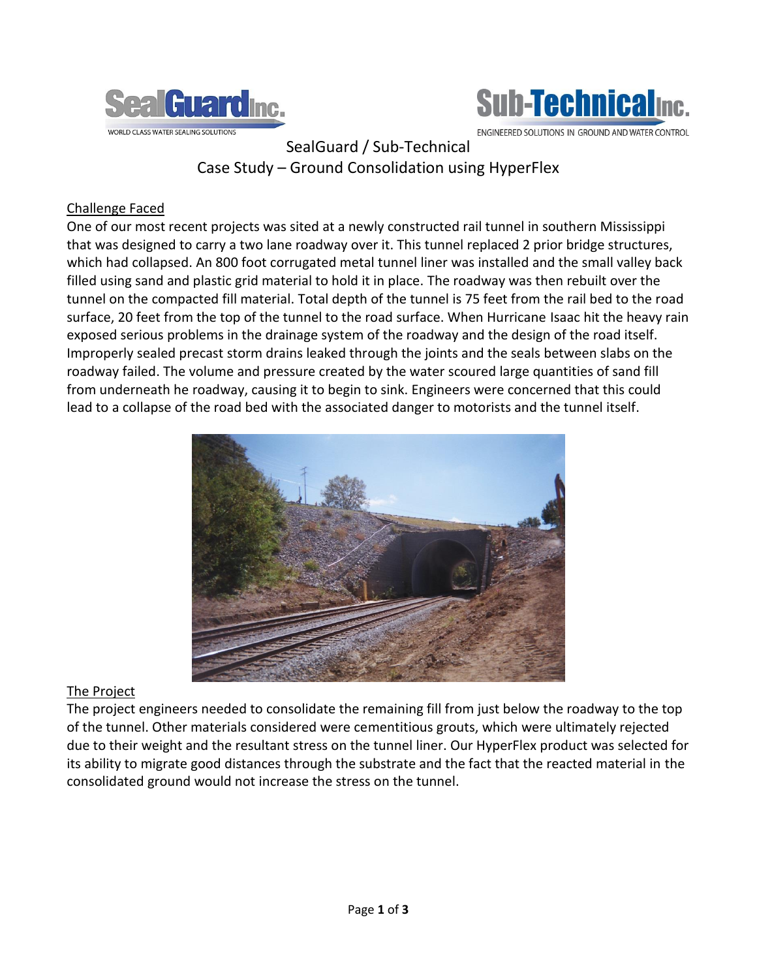



ENGINEERED SOLUTIONS IN GROUND AND WATER CONTROL

SealGuard / Sub-Technical Case Study – Ground Consolidation using HyperFlex

## Challenge Faced

One of our most recent projects was sited at a newly constructed rail tunnel in southern Mississippi that was designed to carry a two lane roadway over it. This tunnel replaced 2 prior bridge structures, which had collapsed. An 800 foot corrugated metal tunnel liner was installed and the small valley back filled using sand and plastic grid material to hold it in place. The roadway was then rebuilt over the tunnel on the compacted fill material. Total depth of the tunnel is 75 feet from the rail bed to the road surface, 20 feet from the top of the tunnel to the road surface. When Hurricane Isaac hit the heavy rain exposed serious problems in the drainage system of the roadway and the design of the road itself. Improperly sealed precast storm drains leaked through the joints and the seals between slabs on the roadway failed. The volume and pressure created by the water scoured large quantities of sand fill from underneath he roadway, causing it to begin to sink. Engineers were concerned that this could lead to a collapse of the road bed with the associated danger to motorists and the tunnel itself.



## The Project

The project engineers needed to consolidate the remaining fill from just below the roadway to the top of the tunnel. Other materials considered were cementitious grouts, which were ultimately rejected due to their weight and the resultant stress on the tunnel liner. Our HyperFlex product was selected for its ability to migrate good distances through the substrate and the fact that the reacted material in the consolidated ground would not increase the stress on the tunnel.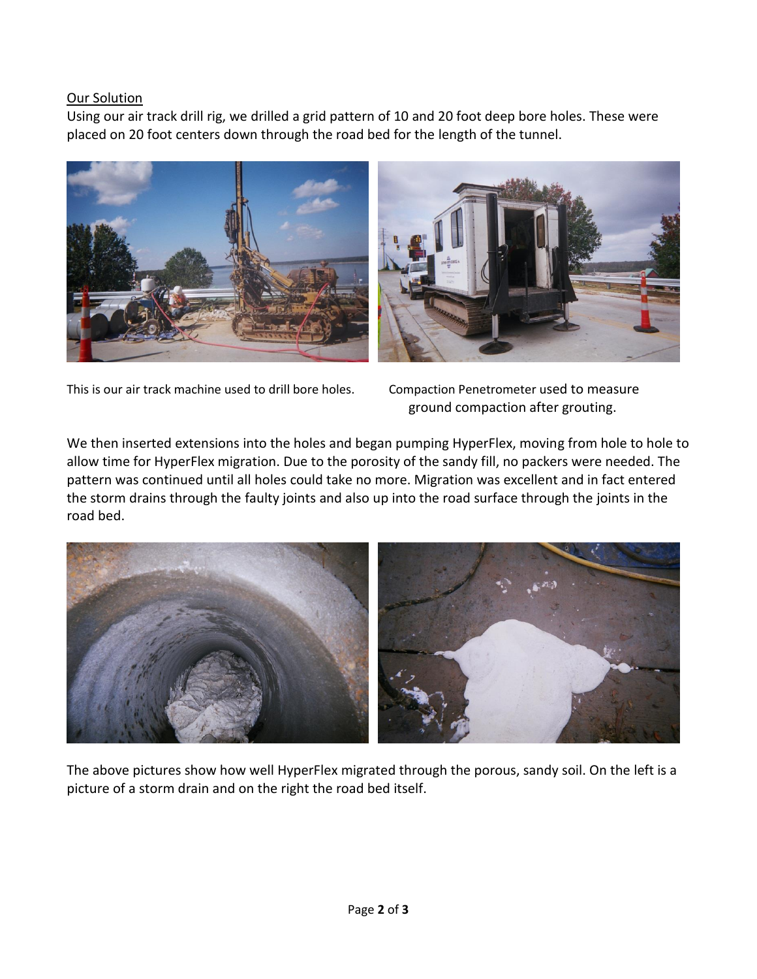## Our Solution

Using our air track drill rig, we drilled a grid pattern of 10 and 20 foot deep bore holes. These were placed on 20 foot centers down through the road bed for the length of the tunnel.



This is our air track machine used to drill bore holes. Compaction Penetrometer used to measure

ground compaction after grouting.

We then inserted extensions into the holes and began pumping HyperFlex, moving from hole to hole to allow time for HyperFlex migration. Due to the porosity of the sandy fill, no packers were needed. The pattern was continued until all holes could take no more. Migration was excellent and in fact entered the storm drains through the faulty joints and also up into the road surface through the joints in the road bed.



The above pictures show how well HyperFlex migrated through the porous, sandy soil. On the left is a picture of a storm drain and on the right the road bed itself.